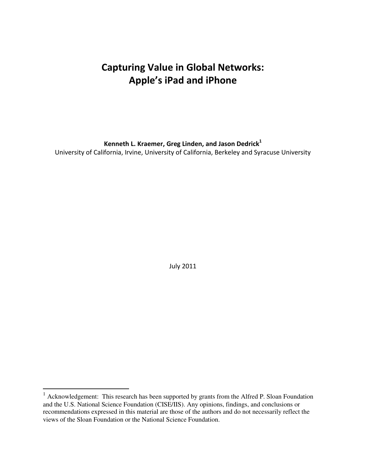# **Capturing Value in Global Networks: Apple's iPad and iPhone**

**Kenneth L. Kraemer, Greg Linden, and Jason Dedrick<sup>1</sup>** 

University of California, Irvine, University of California, Berkeley and Syracuse University

July 2011

 $\overline{a}$ 

 $1$  Acknowledgement: This research has been supported by grants from the Alfred P. Sloan Foundation and the U.S. National Science Foundation (CISE/IIS). Any opinions, findings, and conclusions or recommendations expressed in this material are those of the authors and do not necessarily reflect the views of the Sloan Foundation or the National Science Foundation.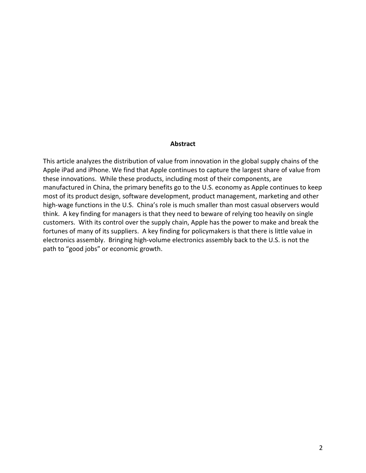#### **Abstract**

This article analyzes the distribution of value from innovation in the global supply chains of the Apple iPad and iPhone. We find that Apple continues to capture the largest share of value from these innovations. While these products, including most of their components, are manufactured in China, the primary benefits go to the U.S. economy as Apple continues to keep most of its product design, software development, product management, marketing and other high-wage functions in the U.S. China's role is much smaller than most casual observers would think. A key finding for managers is that they need to beware of relying too heavily on single customers. With its control over the supply chain, Apple has the power to make and break the fortunes of many of its suppliers. A key finding for policymakers is that there is little value in electronics assembly. Bringing high-volume electronics assembly back to the U.S. is not the path to "good jobs" or economic growth.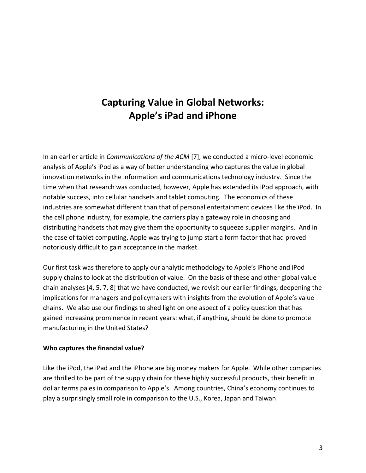# **Capturing Value in Global Networks: Apple's iPad and iPhone**

In an earlier article in *Communications of the ACM* [7], we conducted a micro-level economic analysis of Apple's iPod as a way of better understanding who captures the value in global innovation networks in the information and communications technology industry. Since the time when that research was conducted, however, Apple has extended its iPod approach, with notable success, into cellular handsets and tablet computing. The economics of these industries are somewhat different than that of personal entertainment devices like the iPod. In the cell phone industry, for example, the carriers play a gateway role in choosing and distributing handsets that may give them the opportunity to squeeze supplier margins. And in the case of tablet computing, Apple was trying to jump start a form factor that had proved notoriously difficult to gain acceptance in the market.

Our first task was therefore to apply our analytic methodology to Apple's iPhone and iPod supply chains to look at the distribution of value. On the basis of these and other global value chain analyses [4, 5, 7, 8] that we have conducted, we revisit our earlier findings, deepening the implications for managers and policymakers with insights from the evolution of Apple's value chains. We also use our findings to shed light on one aspect of a policy question that has gained increasing prominence in recent years: what, if anything, should be done to promote manufacturing in the United States?

#### **Who captures the financial value?**

Like the iPod, the iPad and the iPhone are big money makers for Apple. While other companies are thrilled to be part of the supply chain for these highly successful products, their benefit in dollar terms pales in comparison to Apple's. Among countries, China's economy continues to play a surprisingly small role in comparison to the U.S., Korea, Japan and Taiwan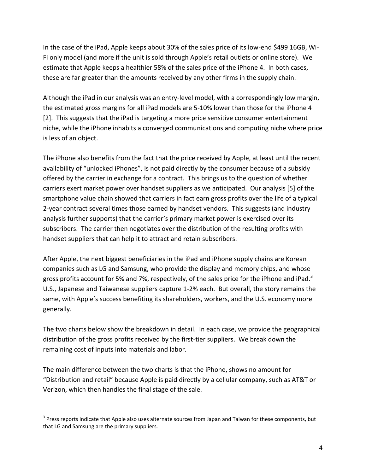In the case of the iPad, Apple keeps about 30% of the sales price of its low-end \$499 16GB, Wi-Fi only model (and more if the unit is sold through Apple's retail outlets or online store). We estimate that Apple keeps a healthier 58% of the sales price of the iPhone 4. In both cases, these are far greater than the amounts received by any other firms in the supply chain.

Although the iPad in our analysis was an entry-level model, with a correspondingly low margin, the estimated gross margins for all iPad models are 5-10% lower than those for the iPhone 4 [2]. This suggests that the iPad is targeting a more price sensitive consumer entertainment niche, while the iPhone inhabits a converged communications and computing niche where price is less of an object.

The iPhone also benefits from the fact that the price received by Apple, at least until the recent availability of "unlocked iPhones", is not paid directly by the consumer because of a subsidy offered by the carrier in exchange for a contract. This brings us to the question of whether carriers exert market power over handset suppliers as we anticipated. Our analysis [5] of the smartphone value chain showed that carriers in fact earn gross profits over the life of a typical 2-year contract several times those earned by handset vendors. This suggests (and industry analysis further supports) that the carrier's primary market power is exercised over its subscribers. The carrier then negotiates over the distribution of the resulting profits with handset suppliers that can help it to attract and retain subscribers.

After Apple, the next biggest beneficiaries in the iPad and iPhone supply chains are Korean companies such as LG and Samsung, who provide the display and memory chips, and whose gross profits account for 5% and 7%, respectively, of the sales price for the iPhone and iPad.<sup>3</sup> U.S., Japanese and Taiwanese suppliers capture 1-2% each. But overall, the story remains the same, with Apple's success benefiting its shareholders, workers, and the U.S. economy more generally.

The two charts below show the breakdown in detail. In each case, we provide the geographical distribution of the gross profits received by the first-tier suppliers. We break down the remaining cost of inputs into materials and labor.

The main difference between the two charts is that the iPhone, shows no amount for "Distribution and retail" because Apple is paid directly by a cellular company, such as AT&T or Verizon, which then handles the final stage of the sale.

 $\overline{a}$ 

 $3$  Press reports indicate that Apple also uses alternate sources from Japan and Taiwan for these components, but that LG and Samsung are the primary suppliers.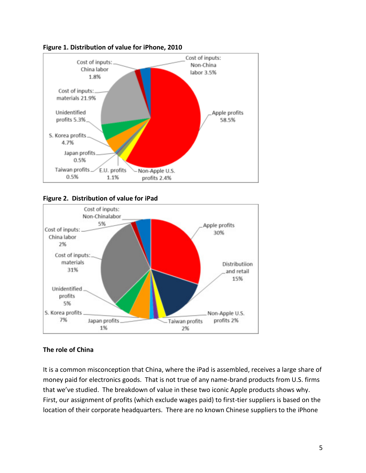







## **The role of China**

It is a common misconception that China, where the iPad is assembled, receives a large share of money paid for electronics goods. That is not true of any name-brand products from U.S. firms that we've studied. The breakdown of value in these two iconic Apple products shows why. First, our assignment of profits (which exclude wages paid) to first-tier suppliers is based on the location of their corporate headquarters. There are no known Chinese suppliers to the iPhone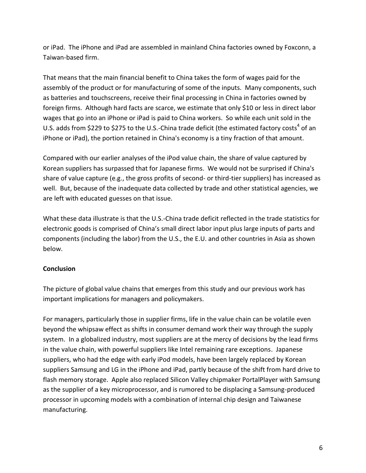or iPad. The iPhone and iPad are assembled in mainland China factories owned by Foxconn, a Taiwan-based firm.

That means that the main financial benefit to China takes the form of wages paid for the assembly of the product or for manufacturing of some of the inputs. Many components, such as batteries and touchscreens, receive their final processing in China in factories owned by foreign firms. Although hard facts are scarce, we estimate that only \$10 or less in direct labor wages that go into an iPhone or iPad is paid to China workers. So while each unit sold in the U.S. adds from \$229 to \$275 to the U.S.-China trade deficit (the estimated factory costs<sup>4</sup> of an iPhone or iPad), the portion retained in China's economy is a tiny fraction of that amount.

Compared with our earlier analyses of the iPod value chain, the share of value captured by Korean suppliers has surpassed that for Japanese firms. We would not be surprised if China's share of value capture (e.g., the gross profits of second- or third-tier suppliers) has increased as well. But, because of the inadequate data collected by trade and other statistical agencies, we are left with educated guesses on that issue.

What these data illustrate is that the U.S.-China trade deficit reflected in the trade statistics for electronic goods is comprised of China's small direct labor input plus large inputs of parts and components (including the labor) from the U.S., the E.U. and other countries in Asia as shown below.

## **Conclusion**

The picture of global value chains that emerges from this study and our previous work has important implications for managers and policymakers.

For managers, particularly those in supplier firms, life in the value chain can be volatile even beyond the whipsaw effect as shifts in consumer demand work their way through the supply system. In a globalized industry, most suppliers are at the mercy of decisions by the lead firms in the value chain, with powerful suppliers like Intel remaining rare exceptions. Japanese suppliers, who had the edge with early iPod models, have been largely replaced by Korean suppliers Samsung and LG in the iPhone and iPad, partly because of the shift from hard drive to flash memory storage. Apple also replaced Silicon Valley chipmaker PortalPlayer with Samsung as the supplier of a key microprocessor, and is rumored to be displacing a Samsung-produced processor in upcoming models with a combination of internal chip design and Taiwanese manufacturing.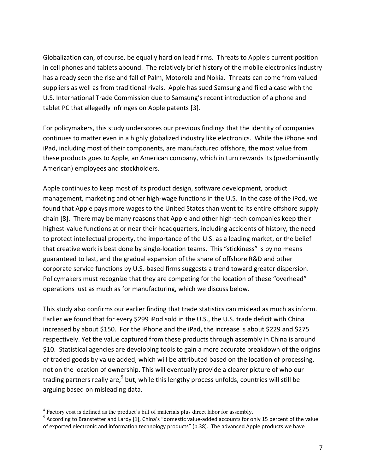Globalization can, of course, be equally hard on lead firms. Threats to Apple's current position in cell phones and tablets abound. The relatively brief history of the mobile electronics industry has already seen the rise and fall of Palm, Motorola and Nokia. Threats can come from valued suppliers as well as from traditional rivals. Apple has sued Samsung and filed a case with the U.S. International Trade Commission due to Samsung's recent introduction of a phone and tablet PC that allegedly infringes on Apple patents [3].

For policymakers, this study underscores our previous findings that the identity of companies continues to matter even in a highly globalized industry like electronics. While the iPhone and iPad, including most of their components, are manufactured offshore, the most value from these products goes to Apple, an American company, which in turn rewards its (predominantly American) employees and stockholders.

Apple continues to keep most of its product design, software development, product management, marketing and other high-wage functions in the U.S. In the case of the iPod, we found that Apple pays more wages to the United States than went to its entire offshore supply chain [8]. There may be many reasons that Apple and other high-tech companies keep their highest-value functions at or near their headquarters, including accidents of history, the need to protect intellectual property, the importance of the U.S. as a leading market, or the belief that creative work is best done by single-location teams. This "stickiness" is by no means guaranteed to last, and the gradual expansion of the share of offshore R&D and other corporate service functions by U.S.-based firms suggests a trend toward greater dispersion. Policymakers must recognize that they are competing for the location of these "overhead" operations just as much as for manufacturing, which we discuss below.

This study also confirms our earlier finding that trade statistics can mislead as much as inform. Earlier we found that for every \$299 iPod sold in the U.S., the U.S. trade deficit with China increased by about \$150. For the iPhone and the iPad, the increase is about \$229 and \$275 respectively. Yet the value captured from these products through assembly in China is around \$10. Statistical agencies are developing tools to gain a more accurate breakdown of the origins of traded goods by value added, which will be attributed based on the location of processing, not on the location of ownership. This will eventually provide a clearer picture of who our trading partners really are,<sup>5</sup> but, while this lengthy process unfolds, countries will still be arguing based on misleading data.

 $4 \text{ Factory cost is defined as the product's bill of materials plus direct labor for assembly.}$ 

 $^5$  According to Branstetter and Lardy [1], China's "domestic value-added accounts for only 15 percent of the value of exported electronic and information technology products" (p.38). The advanced Apple products we have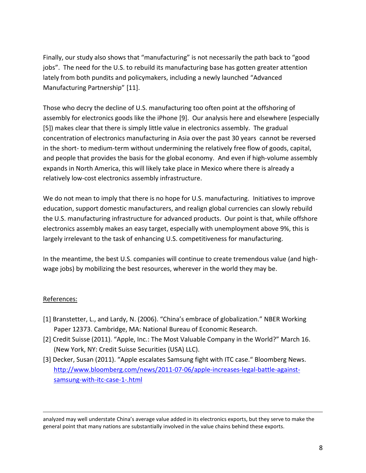Finally, our study also shows that "manufacturing" is not necessarily the path back to "good jobs". The need for the U.S. to rebuild its manufacturing base has gotten greater attention lately from both pundits and policymakers, including a newly launched "Advanced Manufacturing Partnership" [11].

Those who decry the decline of U.S. manufacturing too often point at the offshoring of assembly for electronics goods like the iPhone [9]. Our analysis here and elsewhere [especially [5]) makes clear that there is simply little value in electronics assembly. The gradual concentration of electronics manufacturing in Asia over the past 30 years cannot be reversed in the short- to medium-term without undermining the relatively free flow of goods, capital, and people that provides the basis for the global economy. And even if high-volume assembly expands in North America, this will likely take place in Mexico where there is already a relatively low-cost electronics assembly infrastructure.

We do not mean to imply that there is no hope for U.S. manufacturing. Initiatives to improve education, support domestic manufacturers, and realign global currencies can slowly rebuild the U.S. manufacturing infrastructure for advanced products. Our point is that, while offshore electronics assembly makes an easy target, especially with unemployment above 9%, this is largely irrelevant to the task of enhancing U.S. competitiveness for manufacturing.

In the meantime, the best U.S. companies will continue to create tremendous value (and highwage jobs) by mobilizing the best resources, wherever in the world they may be.

## References:

- [1] Branstetter, L., and Lardy, N. (2006). "China's embrace of globalization." NBER Working Paper 12373. Cambridge, MA: National Bureau of Economic Research.
- [2] Credit Suisse (2011). "Apple, Inc.: The Most Valuable Company in the World?" March 16. (New York, NY: Credit Suisse Securities (USA) LLC).
- [3] Decker, Susan (2011). "Apple escalates Samsung fight with ITC case." Bloomberg News. [http://www.bloomberg.com/news/2011-07-06/apple-increases-legal-battle-against](http://www.bloomberg.com/news/2011-07-06/apple-increases-legal-battle-against-samsung-with-itc-case-1-.html)[samsung-with-itc-case-1-.html](http://www.bloomberg.com/news/2011-07-06/apple-increases-legal-battle-against-samsung-with-itc-case-1-.html)

 $\overline{a}$ analyzed may well understate China's average value added in its electronics exports, but they serve to make the general point that many nations are substantially involved in the value chains behind these exports.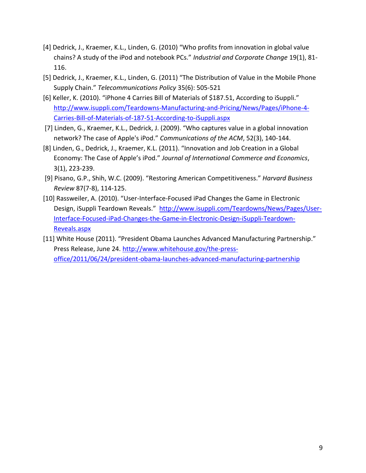- [4] Dedrick, J., Kraemer, K.L., Linden, G. (2010) "Who profits from innovation in global value chains? A study of the iPod and notebook PCs." *Industrial and Corporate Change* 19(1), 81- 116.
- [5] Dedrick, J., Kraemer, K.L., Linden, G. (2011) "The Distribution of Value in the Mobile Phone Supply Chain." *Telecommunications Policy* 35(6): 505-521
- [6] Keller, K. (2010). "iPhone 4 Carries Bill of Materials of \$187.51, According to iSuppli." [http://www.isuppli.com/Teardowns-Manufacturing-and-Pricing/News/Pages/iPhone-4-](http://www.isuppli.com/Teardowns-Manufacturing-and-Pricing/News/Pages/iPhone-4-Carries-Bill-of-Materials-of-187-51-According-to-iSuppli.aspx) [Carries-Bill-of-Materials-of-187-51-According-to-iSuppli.aspx](http://www.isuppli.com/Teardowns-Manufacturing-and-Pricing/News/Pages/iPhone-4-Carries-Bill-of-Materials-of-187-51-According-to-iSuppli.aspx)
- [7] Linden, G., Kraemer, K.L., Dedrick, J. (2009). "Who captures value in a global innovation network? The case of Apple's iPod." *Communications of the ACM*, 52(3), 140-144.
- [8] Linden, G., Dedrick, J., Kraemer, K.L. (2011). "Innovation and Job Creation in a Global Economy: The Case of Apple's iPod." *Journal of International Commerce and Economics*, 3(1), 223-239.
- [9] Pisano, G.P., Shih, W.C. (2009). "Restoring American Competitiveness." *Harvard Business Review* 87(7-8), 114-125.
- [10] Rassweiler, A. (2010). "User-Interface-Focused iPad Changes the Game in Electronic Design, iSuppli Teardown Reveals." [http://www.isuppli.com/Teardowns/News/Pages/User-](http://www.isuppli.com/Teardowns/News/Pages/User-Interface-Focused-iPad-Changes-the-Game-in-Electronic-Design-iSuppli-Teardown-Reveals.aspx)[Interface-Focused-iPad-Changes-the-Game-in-Electronic-Design-iSuppli-Teardown-](http://www.isuppli.com/Teardowns/News/Pages/User-Interface-Focused-iPad-Changes-the-Game-in-Electronic-Design-iSuppli-Teardown-Reveals.aspx)[Reveals.aspx](http://www.isuppli.com/Teardowns/News/Pages/User-Interface-Focused-iPad-Changes-the-Game-in-Electronic-Design-iSuppli-Teardown-Reveals.aspx)
- [11] White House (2011). "President Obama Launches Advanced Manufacturing Partnership." Press Release, June 24. [http://www.whitehouse.gov/the-press](http://www.whitehouse.gov/the-press-office/2011/06/24/president-obama-launches-advanced-manufacturing-partnership)[office/2011/06/24/president-obama-launches-advanced-manufacturing-partnership](http://www.whitehouse.gov/the-press-office/2011/06/24/president-obama-launches-advanced-manufacturing-partnership)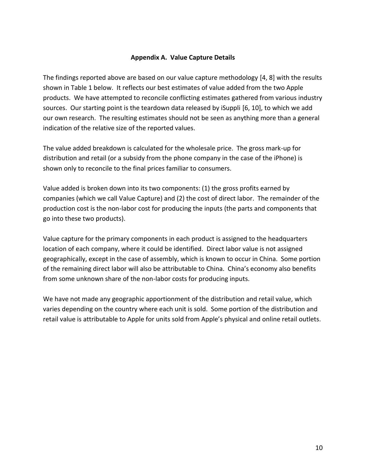#### **Appendix A. Value Capture Details**

The findings reported above are based on our value capture methodology [4, 8] with the results shown in Table 1 below. It reflects our best estimates of value added from the two Apple products. We have attempted to reconcile conflicting estimates gathered from various industry sources. Our starting point is the teardown data released by iSuppli [6, 10], to which we add our own research. The resulting estimates should not be seen as anything more than a general indication of the relative size of the reported values.

The value added breakdown is calculated for the wholesale price. The gross mark-up for distribution and retail (or a subsidy from the phone company in the case of the iPhone) is shown only to reconcile to the final prices familiar to consumers.

Value added is broken down into its two components: (1) the gross profits earned by companies (which we call Value Capture) and (2) the cost of direct labor. The remainder of the production cost is the non-labor cost for producing the inputs (the parts and components that go into these two products).

Value capture for the primary components in each product is assigned to the headquarters location of each company, where it could be identified. Direct labor value is not assigned geographically, except in the case of assembly, which is known to occur in China. Some portion of the remaining direct labor will also be attributable to China. China's economy also benefits from some unknown share of the non-labor costs for producing inputs.

We have not made any geographic apportionment of the distribution and retail value, which varies depending on the country where each unit is sold. Some portion of the distribution and retail value is attributable to Apple for units sold from Apple's physical and online retail outlets.